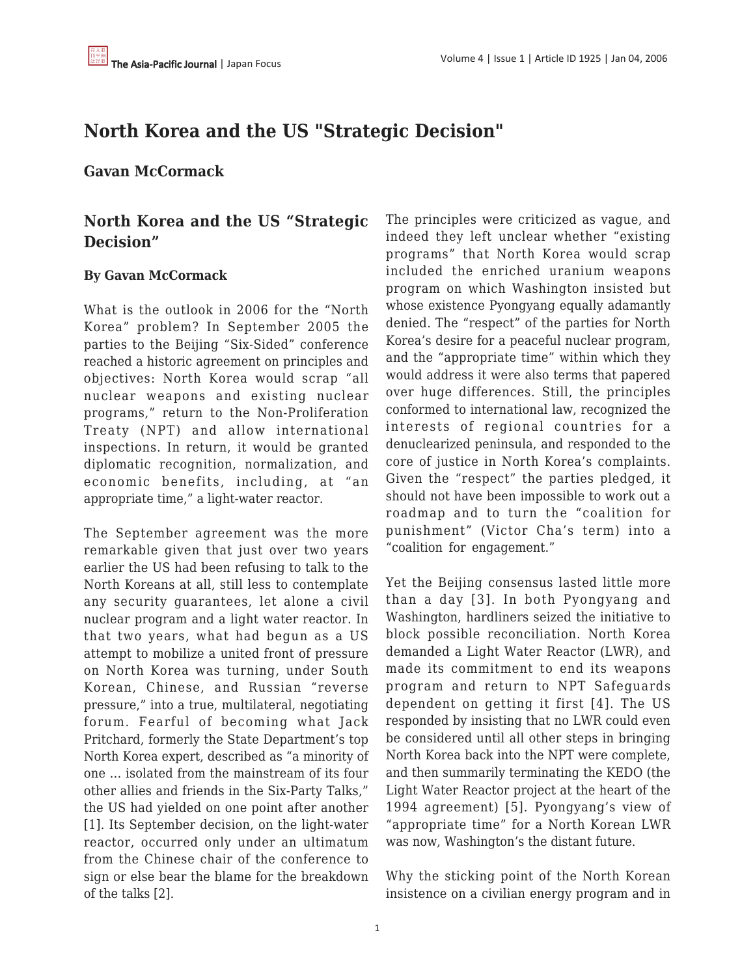## **North Korea and the US "Strategic Decision"**

## **Gavan McCormack**

## **North Korea and the US "Strategic Decision"**

## **By Gavan McCormack**

What is the outlook in 2006 for the "North Korea" problem? In September 2005 the parties to the Beijing "Six-Sided" conference reached a historic agreement on principles and objectives: North Korea would scrap "all nuclear weapons and existing nuclear programs," return to the Non-Proliferation Treaty (NPT) and allow international inspections. In return, it would be granted diplomatic recognition, normalization, and economic benefits, including, at "an appropriate time," a light-water reactor.

The September agreement was the more remarkable given that just over two years earlier the US had been refusing to talk to the North Koreans at all, still less to contemplate any security guarantees, let alone a civil nuclear program and a light water reactor. In that two years, what had begun as a US attempt to mobilize a united front of pressure on North Korea was turning, under South Korean, Chinese, and Russian "reverse pressure," into a true, multilateral, negotiating forum. Fearful of becoming what Jack Pritchard, formerly the State Department's top North Korea expert, described as "a minority of one … isolated from the mainstream of its four other allies and friends in the Six-Party Talks," the US had yielded on one point after another [1]. Its September decision, on the light-water reactor, occurred only under an ultimatum from the Chinese chair of the conference to sign or else bear the blame for the breakdown of the talks [2].

The principles were criticized as vague, and indeed they left unclear whether "existing programs" that North Korea would scrap included the enriched uranium weapons program on which Washington insisted but whose existence Pyongyang equally adamantly denied. The "respect" of the parties for North Korea's desire for a peaceful nuclear program, and the "appropriate time" within which they would address it were also terms that papered over huge differences. Still, the principles conformed to international law, recognized the interests of regional countries for a denuclearized peninsula, and responded to the core of justice in North Korea's complaints. Given the "respect" the parties pledged, it should not have been impossible to work out a roadmap and to turn the "coalition for punishment" (Victor Cha's term) into a "coalition for engagement."

Yet the Beijing consensus lasted little more than a day [3]. In both Pyongyang and Washington, hardliners seized the initiative to block possible reconciliation. North Korea demanded a Light Water Reactor (LWR), and made its commitment to end its weapons program and return to NPT Safeguards dependent on getting it first [4]. The US responded by insisting that no LWR could even be considered until all other steps in bringing North Korea back into the NPT were complete, and then summarily terminating the KEDO (the Light Water Reactor project at the heart of the 1994 agreement) [5]. Pyongyang's view of "appropriate time" for a North Korean LWR was now, Washington's the distant future.

Why the sticking point of the North Korean insistence on a civilian energy program and in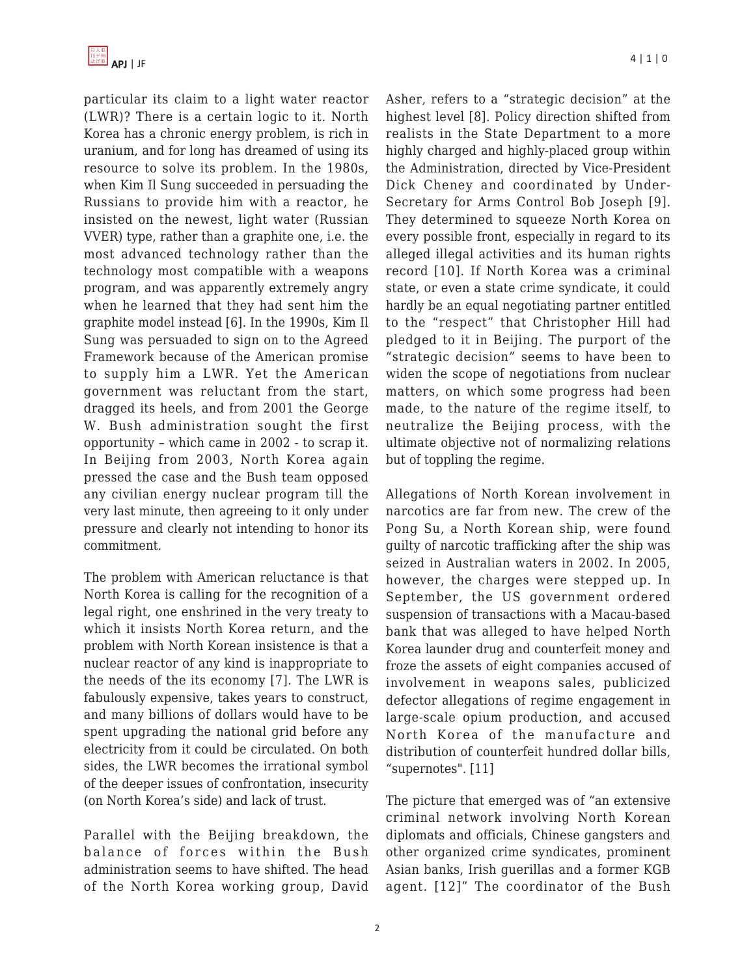particular its claim to a light water reactor (LWR)? There is a certain logic to it. North Korea has a chronic energy problem, is rich in uranium, and for long has dreamed of using its resource to solve its problem. In the 1980s, when Kim Il Sung succeeded in persuading the Russians to provide him with a reactor, he insisted on the newest, light water (Russian VVER) type, rather than a graphite one, i.e. the most advanced technology rather than the technology most compatible with a weapons program, and was apparently extremely angry when he learned that they had sent him the graphite model instead [6]. In the 1990s, Kim Il Sung was persuaded to sign on to the Agreed Framework because of the American promise to supply him a LWR. Yet the American government was reluctant from the start, dragged its heels, and from 2001 the George W. Bush administration sought the first opportunity – which came in 2002 - to scrap it. In Beijing from 2003, North Korea again pressed the case and the Bush team opposed any civilian energy nuclear program till the very last minute, then agreeing to it only under pressure and clearly not intending to honor its commitment.

The problem with American reluctance is that North Korea is calling for the recognition of a legal right, one enshrined in the very treaty to which it insists North Korea return, and the problem with North Korean insistence is that a nuclear reactor of any kind is inappropriate to the needs of the its economy [7]. The LWR is fabulously expensive, takes years to construct, and many billions of dollars would have to be spent upgrading the national grid before any electricity from it could be circulated. On both sides, the LWR becomes the irrational symbol of the deeper issues of confrontation, insecurity (on North Korea's side) and lack of trust.

Parallel with the Beijing breakdown, the balance of forces within the Bush administration seems to have shifted. The head of the North Korea working group, David Asher, refers to a "strategic decision" at the highest level [8]. Policy direction shifted from realists in the State Department to a more highly charged and highly-placed group within the Administration, directed by Vice-President Dick Cheney and coordinated by Under-Secretary for Arms Control Bob Joseph [9]. They determined to squeeze North Korea on every possible front, especially in regard to its alleged illegal activities and its human rights record [10]. If North Korea was a criminal state, or even a state crime syndicate, it could hardly be an equal negotiating partner entitled to the "respect" that Christopher Hill had pledged to it in Beijing. The purport of the "strategic decision" seems to have been to widen the scope of negotiations from nuclear matters, on which some progress had been made, to the nature of the regime itself, to neutralize the Beijing process, with the ultimate objective not of normalizing relations but of toppling the regime.

Allegations of North Korean involvement in narcotics are far from new. The crew of the Pong Su, a North Korean ship, were found guilty of narcotic trafficking after the ship was seized in Australian waters in 2002. In 2005, however, the charges were stepped up. In September, the US government ordered suspension of transactions with a Macau-based bank that was alleged to have helped North Korea launder drug and counterfeit money and froze the assets of eight companies accused of involvement in weapons sales, publicized defector allegations of regime engagement in large-scale opium production, and accused North Korea of the manufacture and distribution of counterfeit hundred dollar bills, "supernotes". [11]

The picture that emerged was of "an extensive criminal network involving North Korean diplomats and officials, Chinese gangsters and other organized crime syndicates, prominent Asian banks, Irish guerillas and a former KGB agent. [12]" The coordinator of the Bush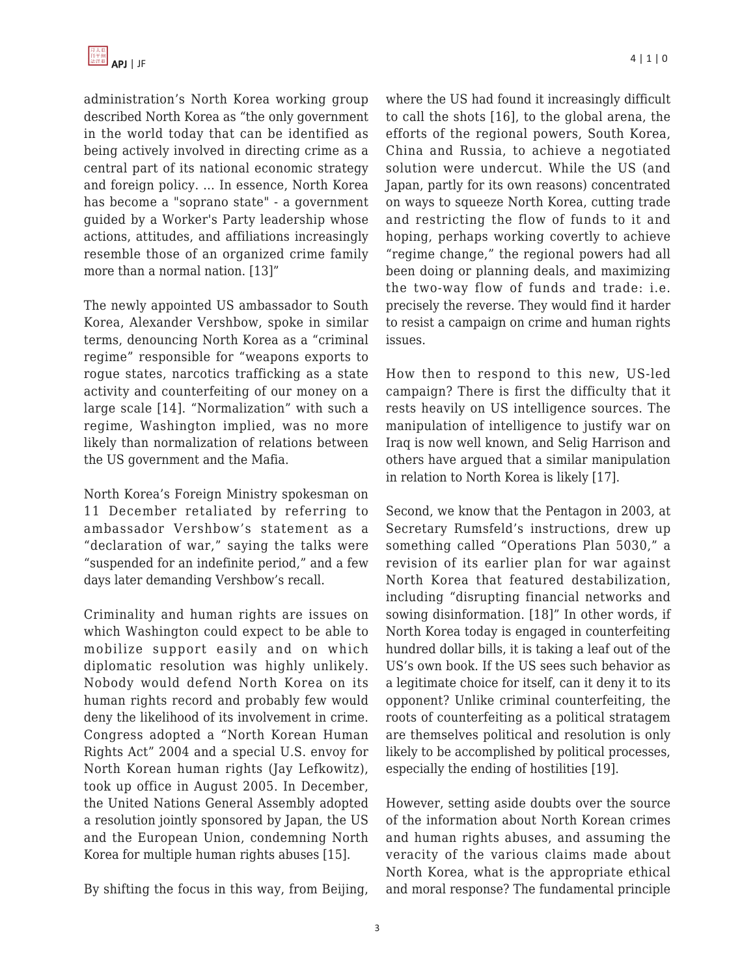administration's North Korea working group described North Korea as "the only government in the world today that can be identified as being actively involved in directing crime as a central part of its national economic strategy and foreign policy. … In essence, North Korea has become a "soprano state" - a government guided by a Worker's Party leadership whose actions, attitudes, and affiliations increasingly resemble those of an organized crime family more than a normal nation. [13]"

The newly appointed US ambassador to South Korea, Alexander Vershbow, spoke in similar terms, denouncing North Korea as a "criminal regime" responsible for "weapons exports to rogue states, narcotics trafficking as a state activity and counterfeiting of our money on a large scale [14]. "Normalization" with such a regime, Washington implied, was no more likely than normalization of relations between the US government and the Mafia.

North Korea's Foreign Ministry spokesman on 11 December retaliated by referring to ambassador Vershbow's statement as a "declaration of war," saying the talks were "suspended for an indefinite period," and a few days later demanding Vershbow's recall.

Criminality and human rights are issues on which Washington could expect to be able to mobilize support easily and on which diplomatic resolution was highly unlikely. Nobody would defend North Korea on its human rights record and probably few would deny the likelihood of its involvement in crime. Congress adopted a "North Korean Human Rights Act" 2004 and a special U.S. envoy for North Korean human rights (Jay Lefkowitz), took up office in August 2005. In December, the United Nations General Assembly adopted a resolution jointly sponsored by Japan, the US and the European Union, condemning North Korea for multiple human rights abuses [15].

By shifting the focus in this way, from Beijing,

where the US had found it increasingly difficult to call the shots [16], to the global arena, the efforts of the regional powers, South Korea, China and Russia, to achieve a negotiated solution were undercut. While the US (and Japan, partly for its own reasons) concentrated on ways to squeeze North Korea, cutting trade and restricting the flow of funds to it and hoping, perhaps working covertly to achieve "regime change," the regional powers had all been doing or planning deals, and maximizing the two-way flow of funds and trade: i.e. precisely the reverse. They would find it harder to resist a campaign on crime and human rights issues.

How then to respond to this new, US-led campaign? There is first the difficulty that it rests heavily on US intelligence sources. The manipulation of intelligence to justify war on Iraq is now well known, and Selig Harrison and others have argued that a similar manipulation in relation to North Korea is likely [17].

Second, we know that the Pentagon in 2003, at Secretary Rumsfeld's instructions, drew up something called "Operations Plan 5030," a revision of its earlier plan for war against North Korea that featured destabilization, including "disrupting financial networks and sowing disinformation. [18]" In other words, if North Korea today is engaged in counterfeiting hundred dollar bills, it is taking a leaf out of the US's own book. If the US sees such behavior as a legitimate choice for itself, can it deny it to its opponent? Unlike criminal counterfeiting, the roots of counterfeiting as a political stratagem are themselves political and resolution is only likely to be accomplished by political processes, especially the ending of hostilities [19].

However, setting aside doubts over the source of the information about North Korean crimes and human rights abuses, and assuming the veracity of the various claims made about North Korea, what is the appropriate ethical and moral response? The fundamental principle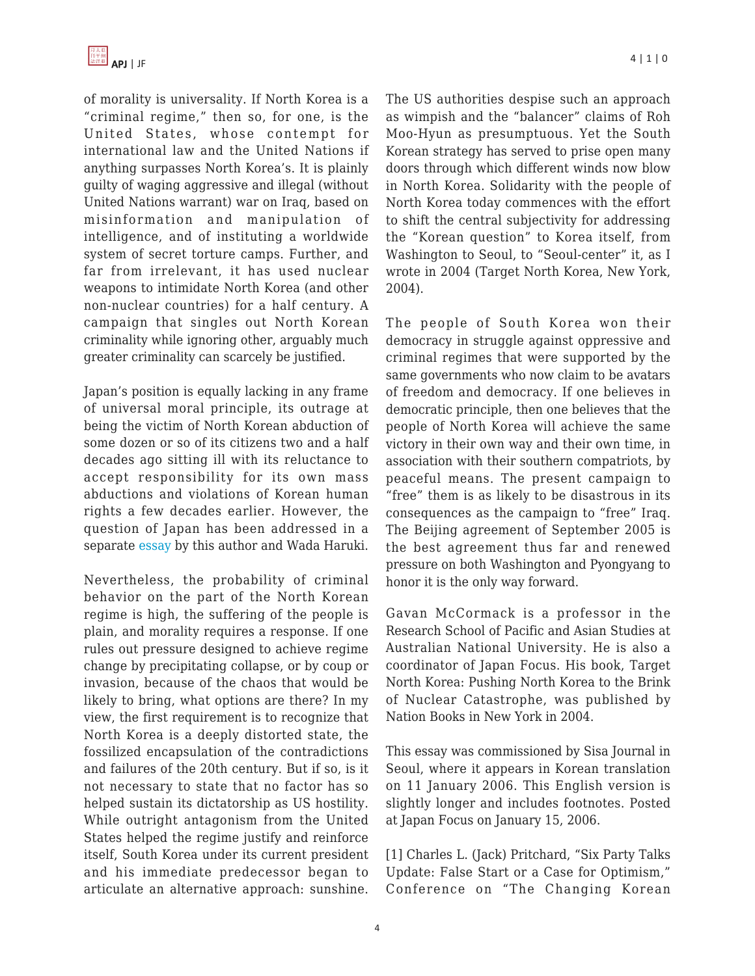of morality is universality. If North Korea is a "criminal regime," then so, for one, is the United States, whose contempt for international law and the United Nations if anything surpasses North Korea's. It is plainly guilty of waging aggressive and illegal (without United Nations warrant) war on Iraq, based on misinformation and manipulation of intelligence, and of instituting a worldwide system of secret torture camps. Further, and far from irrelevant, it has used nuclear weapons to intimidate North Korea (and other non-nuclear countries) for a half century. A campaign that singles out North Korean criminality while ignoring other, arguably much greater criminality can scarcely be justified.

Japan's position is equally lacking in any frame of universal moral principle, its outrage at being the victim of North Korean abduction of some dozen or so of its citizens two and a half decades ago sitting ill with its reluctance to accept responsibility for its own mass abductions and violations of Korean human rights a few decades earlier. However, the question of Japan has been addressed in a separate [essay b](http://japanfocus.org/article.asp?id=385)y this author and Wada Haruki.

Nevertheless, the probability of criminal behavior on the part of the North Korean regime is high, the suffering of the people is plain, and morality requires a response. If one rules out pressure designed to achieve regime change by precipitating collapse, or by coup or invasion, because of the chaos that would be likely to bring, what options are there? In my view, the first requirement is to recognize that North Korea is a deeply distorted state, the fossilized encapsulation of the contradictions and failures of the 20th century. But if so, is it not necessary to state that no factor has so helped sustain its dictatorship as US hostility. While outright antagonism from the United States helped the regime justify and reinforce itself, South Korea under its current president and his immediate predecessor began to articulate an alternative approach: sunshine. The US authorities despise such an approach as wimpish and the "balancer" claims of Roh Moo-Hyun as presumptuous. Yet the South Korean strategy has served to prise open many doors through which different winds now blow in North Korea. Solidarity with the people of North Korea today commences with the effort to shift the central subjectivity for addressing the "Korean question" to Korea itself, from Washington to Seoul, to "Seoul-center" it, as I wrote in 2004 (Target North Korea, New York, 2004).

The people of South Korea won their democracy in struggle against oppressive and criminal regimes that were supported by the same governments who now claim to be avatars of freedom and democracy. If one believes in democratic principle, then one believes that the people of North Korea will achieve the same victory in their own way and their own time, in association with their southern compatriots, by peaceful means. The present campaign to "free" them is as likely to be disastrous in its consequences as the campaign to "free" Iraq. The Beijing agreement of September 2005 is the best agreement thus far and renewed pressure on both Washington and Pyongyang to honor it is the only way forward.

Gavan McCormack is a professor in the Research School of Pacific and Asian Studies at Australian National University. He is also a coordinator of Japan Focus. His book, Target North Korea: Pushing North Korea to the Brink of Nuclear Catastrophe, was published by Nation Books in New York in 2004.

This essay was commissioned by Sisa Journal in Seoul, where it appears in Korean translation on 11 January 2006. This English version is slightly longer and includes footnotes. Posted at Japan Focus on January 15, 2006.

[1] Charles L. (Jack) Pritchard, "Six Party Talks Update: False Start or a Case for Optimism," Conference on "The Changing Korean